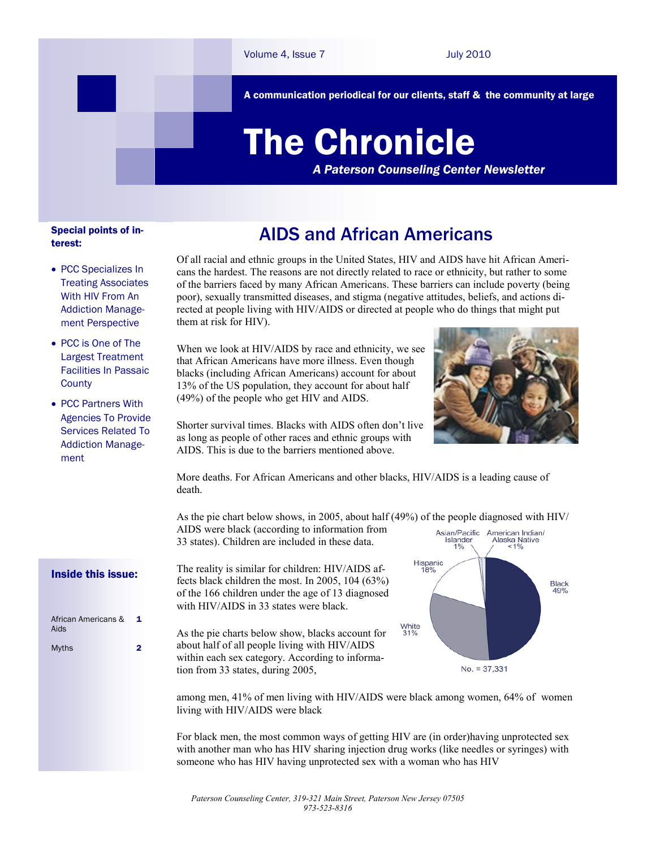A communication periodical for our clients, staff & the community at large

# The Chronicle

*A Paterson Counseling Center Newsletter*

#### Special points of interest:

- PCC Specializes In Treating Associates With HIV From An Addiction Management Perspective
- PCC is One of The Largest Treatment Facilities In Passaic **County**
- PCC Partners With Agencies To Provide Services Related To Addiction Management

AIDS and African Americans

Of all racial and ethnic groups in the United States, HIV and AIDS have hit African Americans the hardest. The reasons are not directly related to race or ethnicity, but rather to some of the barriers faced by many African Americans. These barriers can include poverty (being poor), sexually transmitted diseases, and stigma (negative attitudes, beliefs, and actions directed at people living with HIV/AIDS or directed at people who do things that might put them at risk for HIV).

When we look at HIV/AIDS by race and ethnicity, we see that African Americans have more illness. Even though blacks (including African Americans) account for about 13% of the US population, they account for about half (49%) of the people who get HIV and AIDS.



Shorter survival times. Blacks with AIDS often don't live as long as people of other races and ethnic groups with AIDS. This is due to the barriers mentioned above.

More deaths. For African Americans and other blacks, HIV/AIDS is a leading cause of death.

As the pie chart below shows, in 2005, about half (49%) of the people diagnosed with HIV/ AIDS were black (according to information from

33 states). Children are included in these data.

The reality is similar for children: HIV/AIDS affects black children the most. In 2005, 104 (63%) of the 166 children under the age of 13 diagnosed with HIV/AIDS in 33 states were black.

As the pie charts below show, blacks account for about half of all people living with HIV/AIDS within each sex category. According to information from 33 states, during 2005,



among men, 41% of men living with HIV/AIDS were black among women, 64% of women living with HIV/AIDS were black

For black men, the most common ways of getting HIV are (in order)having unprotected sex with another man who has HIV sharing injection drug works (like needles or syringes) with someone who has HIV having unprotected sex with a woman who has HIV

#### Inside this issue:

| African Americans &<br>Aids<br><b>Myths</b> | 1 |
|---------------------------------------------|---|
|                                             |   |